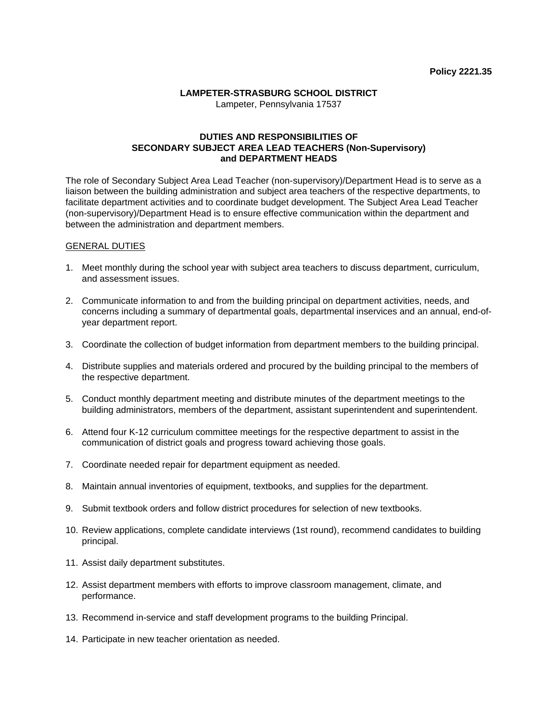## **LAMPETER-STRASBURG SCHOOL DISTRICT**

Lampeter, Pennsylvania 17537

## **DUTIES AND RESPONSIBILITIES OF SECONDARY SUBJECT AREA LEAD TEACHERS (Non-Supervisory) and DEPARTMENT HEADS**

The role of Secondary Subject Area Lead Teacher (non-supervisory)/Department Head is to serve as a liaison between the building administration and subject area teachers of the respective departments, to facilitate department activities and to coordinate budget development. The Subject Area Lead Teacher (non-supervisory)/Department Head is to ensure effective communication within the department and between the administration and department members.

## GENERAL DUTIES

- 1. Meet monthly during the school year with subject area teachers to discuss department, curriculum, and assessment issues.
- 2. Communicate information to and from the building principal on department activities, needs, and concerns including a summary of departmental goals, departmental inservices and an annual, end-ofyear department report.
- 3. Coordinate the collection of budget information from department members to the building principal.
- 4. Distribute supplies and materials ordered and procured by the building principal to the members of the respective department.
- 5. Conduct monthly department meeting and distribute minutes of the department meetings to the building administrators, members of the department, assistant superintendent and superintendent.
- 6. Attend four K-12 curriculum committee meetings for the respective department to assist in the communication of district goals and progress toward achieving those goals.
- 7. Coordinate needed repair for department equipment as needed.
- 8. Maintain annual inventories of equipment, textbooks, and supplies for the department.
- 9. Submit textbook orders and follow district procedures for selection of new textbooks.
- 10. Review applications, complete candidate interviews (1st round), recommend candidates to building principal.
- 11. Assist daily department substitutes.
- 12. Assist department members with efforts to improve classroom management, climate, and performance.
- 13. Recommend in-service and staff development programs to the building Principal.
- 14. Participate in new teacher orientation as needed.